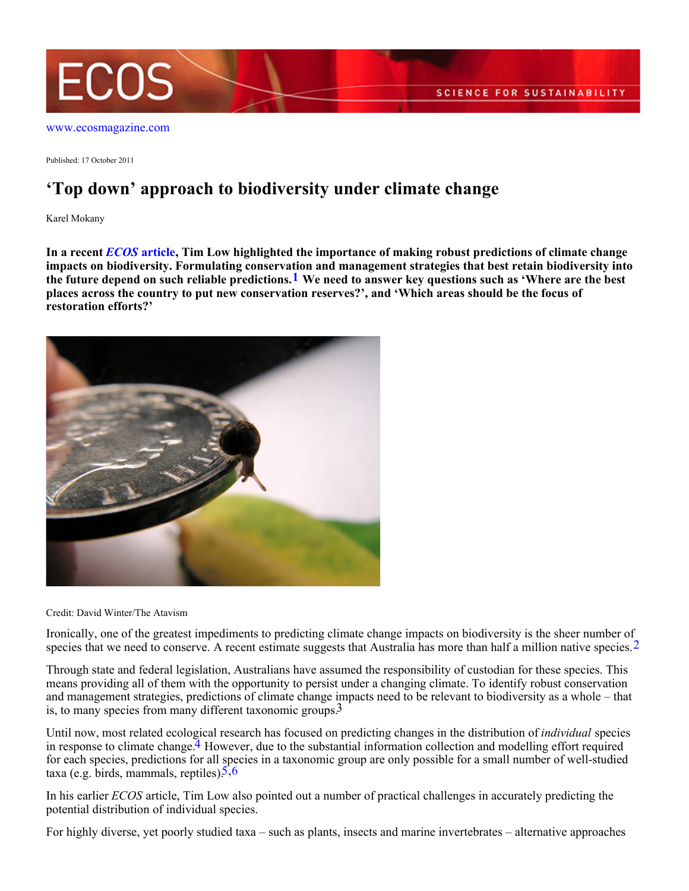

[www.ecosmagazine.com](http://www.ecosmagazine.com)

Published: 17 October 2011

## **'Top down' approach to biodiversity under climate change**

Karel Mokany

**In a recent** *[ECOS](http://www.ecosmagazine.com/?paper=EC11036)* **[article](http://www.ecosmagazine.com/?paper=EC11036), Tim Low highlighted the importance of making robust predictions of climate change impacts on biodiversity. Formulating conservation and management strategies that best retain biodiversity into the future depend on such reliable predictions.1 We need to answer key questions such as 'Where are the best places across the country to put new conservation reserves?', and 'Which areas should be the focus of restoration efforts?'**



Credit: David Winter/The Atavism

Ironically, one of the greatest impediments to predicting climate change impacts on biodiversity is the sheer number of species that we need to conserve. A recent estimate suggests that Australia has more than half a million native species.<sup>2</sup>

Through state and federal legislation, Australians have assumed the responsibility of custodian for these species. This means providing all of them with the opportunity to persist under a changing climate. To identify robust conservation and management strategies, predictions of climate change impacts need to be relevant to biodiversity as a whole – that is, to many species from many different taxonomic groups.3

Until now, most related ecological research has focused on predicting changes in the distribution of *individual* species in response to climate change.<sup>4</sup> However, due to the substantial information collection and modelling effort required for each species, predictions for all species in a taxonomic group are only possible for a small number of well-studied taxa (e.g. birds, mammals, reptiles). $5,6$ 

In his earlier *ECOS* article, Tim Low also pointed out a number of practical challenges in accurately predicting the potential distribution of individual species.

For highly diverse, yet poorly studied taxa – such as plants, insects and marine invertebrates – alternative approaches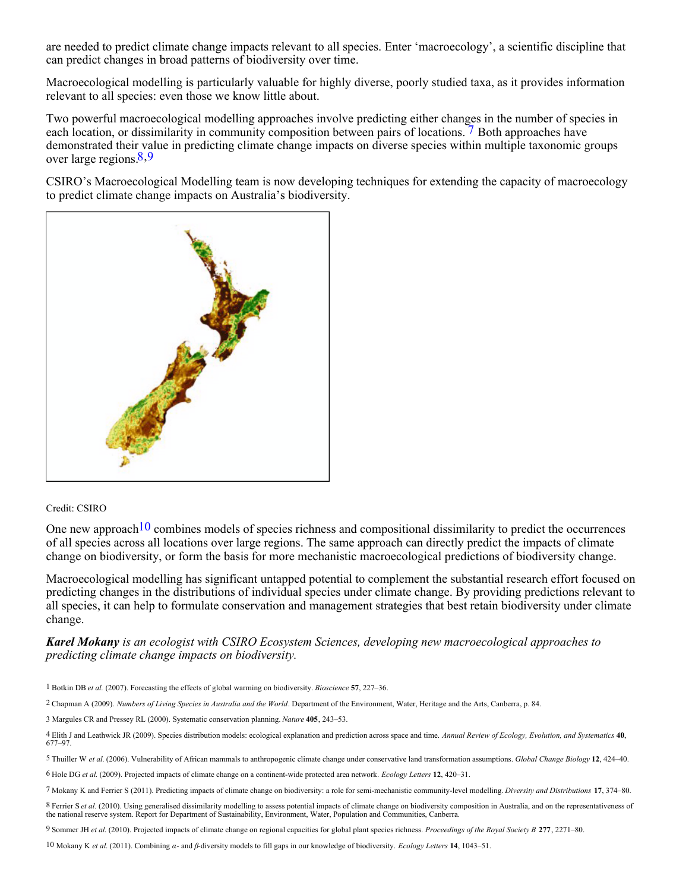are needed to predict climate change impacts relevant to all species. Enter 'macroecology', a scientific discipline that can predict changes in broad patterns of biodiversity over time.

Macroecological modelling is particularly valuable for highly diverse, poorly studied taxa, as it provides information relevant to all species: even those we know little about.

Two powerful macroecological modelling approaches involve predicting either changes in the number of species in each location, or dissimilarity in community composition between pairs of locations. 7 Both approaches have demonstrated their value in predicting climate change impacts on diverse species within multiple taxonomic groups over large regions.8,9

CSIRO's Macroecological Modelling team is now developing techniques for extending the capacity of macroecology to predict climate change impacts on Australia's biodiversity.



## Credit: CSIRO

One new approach  $10$  combines models of species richness and compositional dissimilarity to predict the occurrences of all species across all locations over large regions. The same approach can directly predict the impacts of climate change on biodiversity, or form the basis for more mechanistic macroecological predictions of biodiversity change.

Macroecological modelling has significant untapped potential to complement the substantial research effort focused on predicting changes in the distributions of individual species under climate change. By providing predictions relevant to all species, it can help to formulate conservation and management strategies that best retain biodiversity under climate change.

## *Karel Mokany is an ecologist with CSIRO Ecosystem Sciences, developing new macroecological approaches to predicting climate change impacts on biodiversity.*

1 Botkin DB *et al.* (2007). Forecasting the effects of global warming on biodiversity. *Bioscience* **57**, 227–36.

2 Chapman A (2009). *Numbers of Living Species in Australia and the World*. Department of the Environment, Water, Heritage and the Arts, Canberra, p. 84.

3 Margules CR and Pressey RL (2000). Systematic conservation planning. *Nature* **405**, 243–53.

4 Elith J and Leathwick JR (2009). Species distribution models: ecological explanation and prediction across space and time. *Annual Review of Ecology, Evolution, and Systematics* **40**, 677–97.

5 Thuiller W *et al*. (2006). Vulnerability of African mammals to anthropogenic climate change under conservative land transformation assumptions. *Global Change Biology* **12**, 424–40. 6 Hole DG *et al*. (2009). Projected impacts of climate change on a continent-wide protected area network. *Ecology Letters* **12**, 420–31.

7 Mokany K and Ferrier S (2011). Predicting impacts of climate change on biodiversity: a role for semi-mechanistic community-level modelling. *Diversity and Distributions* **17**, 374–80.

8 Ferrier S et al. (2010). Using generalised dissimilarity modelling to assess potential impacts of climate change on biodiversity composition in Australia, and on the representativeness of the national reserve system. Rep

9 Sommer JH *et al*. (2010). Projected impacts of climate change on regional capacities for global plant species richness. *Proceedings of the Royal Society B* **277**, 2271–80.

10 Mokany K *et al*. (2011). Combining *α*- and *β*-diversity models to fill gaps in our knowledge of biodiversity. *Ecology Letters* **14**, 1043–51.